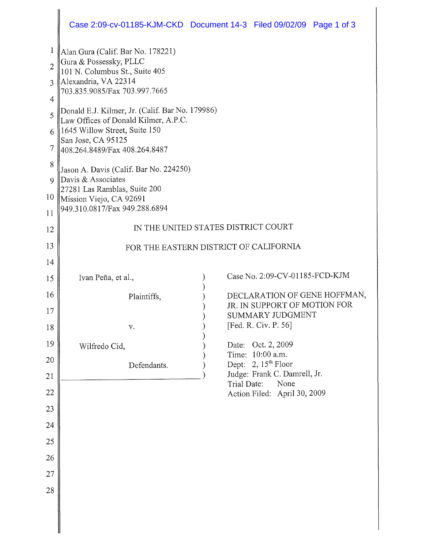|                               | Case 2:09-cv-01185-KJM-CKD Document 14-3 Filed 09/02/09 Page 1 of 3                                                                                                             |  |                                                                                                                                                                       |                                                              |  |
|-------------------------------|---------------------------------------------------------------------------------------------------------------------------------------------------------------------------------|--|-----------------------------------------------------------------------------------------------------------------------------------------------------------------------|--------------------------------------------------------------|--|
| $\mathbf 1$<br>$\overline{2}$ | Alan Gura (Calif. Bar No. 178221)<br>Gura & Possessky, PLLC<br>101 N. Columbus St., Suite 405<br>Alexandria, VA 22314<br>703.835.9085/Fax 703.997.7665                          |  |                                                                                                                                                                       |                                                              |  |
| 3                             |                                                                                                                                                                                 |  |                                                                                                                                                                       |                                                              |  |
| $\overline{4}$<br>5           | Donald E.J. Kilmer, Jr. (Calif. Bar No. 179986)<br>Law Offices of Donald Kilmer, A.P.C.<br>1645 Willow Street, Suite 150<br>San Jose, CA 95125<br>408.264.8489/Fax 408.264.8487 |  |                                                                                                                                                                       |                                                              |  |
| 6                             |                                                                                                                                                                                 |  |                                                                                                                                                                       |                                                              |  |
| 7                             |                                                                                                                                                                                 |  |                                                                                                                                                                       |                                                              |  |
| 8                             | Jason A. Davis (Calif. Bar No. 224250)<br>Davis & Associates<br>27281 Las Ramblas, Suite 200<br>Mission Viejo, CA 92691<br>949.310.0817/Fax 949.288.6894                        |  |                                                                                                                                                                       |                                                              |  |
| 9<br>10                       |                                                                                                                                                                                 |  |                                                                                                                                                                       |                                                              |  |
| 11                            |                                                                                                                                                                                 |  |                                                                                                                                                                       |                                                              |  |
| 12                            | IN THE UNITED STATES DISTRICT COURT                                                                                                                                             |  |                                                                                                                                                                       |                                                              |  |
| 13                            | FOR THE EASTERN DISTRICT OF CALIFORNIA                                                                                                                                          |  |                                                                                                                                                                       |                                                              |  |
| 14<br>15                      | Ivan Peña, et al.,                                                                                                                                                              |  |                                                                                                                                                                       | Case No. 2:09-CV-01185-FCD-KJM                               |  |
| 16                            |                                                                                                                                                                                 |  |                                                                                                                                                                       |                                                              |  |
| 17                            | Plaintiffs,                                                                                                                                                                     |  | SUMMARY JUDGMENT<br>[Fed. R. Civ. P. 56]<br>Date: Oct. 2, 2009<br>Time: 10:00 a.m.<br>Dept: 2, $15^{th}$ Floor<br>Judge: Frank C. Damrell, Jr.<br>None<br>Trial Date: | DECLARATION OF GENE HOFFMAN,<br>JR. IN SUPPORT OF MOTION FOR |  |
| 18                            | v.                                                                                                                                                                              |  |                                                                                                                                                                       |                                                              |  |
| 19                            | Wilfredo Cid,                                                                                                                                                                   |  |                                                                                                                                                                       |                                                              |  |
| 20                            | Defendants.                                                                                                                                                                     |  |                                                                                                                                                                       |                                                              |  |
| 21                            |                                                                                                                                                                                 |  |                                                                                                                                                                       |                                                              |  |
| 22<br>23                      | Action Filed: April 30, 2009                                                                                                                                                    |  |                                                                                                                                                                       |                                                              |  |
| 24                            |                                                                                                                                                                                 |  |                                                                                                                                                                       |                                                              |  |
| 25                            |                                                                                                                                                                                 |  |                                                                                                                                                                       |                                                              |  |
| 26                            |                                                                                                                                                                                 |  |                                                                                                                                                                       |                                                              |  |
| 27                            |                                                                                                                                                                                 |  |                                                                                                                                                                       |                                                              |  |
| 28                            |                                                                                                                                                                                 |  |                                                                                                                                                                       |                                                              |  |
|                               |                                                                                                                                                                                 |  |                                                                                                                                                                       |                                                              |  |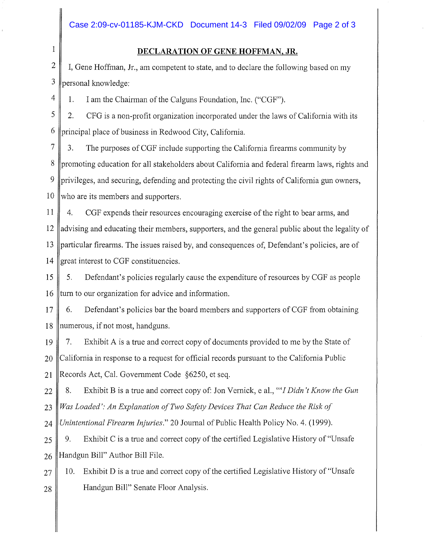## 1 **DECLARATION OF GENE HOFFMAN, JR.**

2 | I, Gene Hoffman, Jr., am competent to state, and to declare the following based on my  $3$  ||personal knowledge:

 $4 \parallel 1$ . I am the Chairman of the Calguns Foundation, Inc. ("CGF").

 $\begin{bmatrix} 5 \end{bmatrix}$  2. CFG is a non-profit organization incorporated under the laws of California with its  $6 \parallel$  principal place of business in Redwood City, California.

 $7 \parallel 3$ . The purposes of CGF include supporting the California firearms community by 8 promoting education for all stakeholders about California and federal firearm laws, rights and 9 privileges, and securing, defending and protecting the civil rights of California gun owners, 10 who are its members and supporters.

11 4. CGF expends their resources encouraging exercise of the right to bear arms, and 12 advising and educating their members, supporters, and the general public about the legality of 13 ||particular firearms. The issues raised by, and consequences of, Defendant's policies, are of 14 great interest to CGF constituencies.

15 5. Defendant's policies regularly cause the expenditure of resources by CGF as people 16 turn to our organization for advice and information.

17 6. Defendant's policies bar the board members and supporters of CGF from obtaining 18 || numerous, if not most, handguns.

19 7. Exhibit A is a true and correct copy of documents provided to me by the State of 20 California in response to a request for official records pursuant to the California Public 21 Records Act, Cal. Government Code §6250, et seq.

22 8. Exhibit B is a true and correct copy of: Jon Vernick, e aI., *"'I Didn't Know the Gun 23 Was Loaded* ': *An Explanation ofTwo Safety Devices That Can Reduce the Risk of 24 Unintentional Firearm Injuries."* 20 Journal of Public Health Policy No. 4. (1999).

 $25 \parallel 9$ . Exhibit C is a true and correct copy of the certified Legislative History of "Unsafe" 26 Handgun Bill" Author Bill File.

 $27 \parallel 10$ . Exhibit D is a true and correct copy of the certified Legislative History of "Unsafe" 28 | Handgun Bill" Senate Floor Analysis.